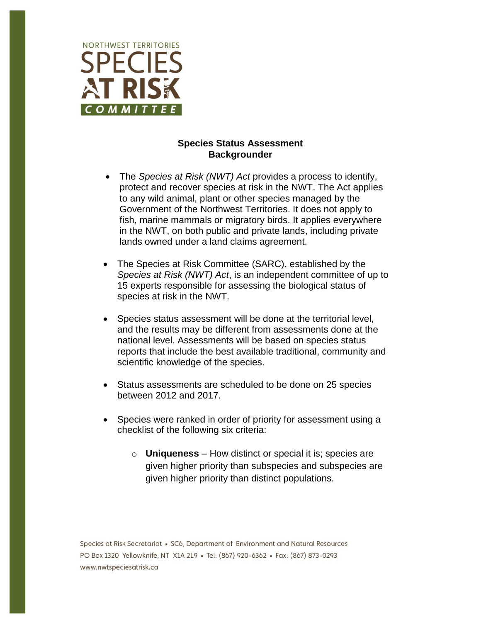

## **Species Status Assessment Backgrounder**

- The *Species at Risk (NWT) Act* provides a process to identify, protect and recover species at risk in the NWT. The Act applies to any wild animal, plant or other species managed by the Government of the Northwest Territories. It does not apply to fish, marine mammals or migratory birds. It applies everywhere in the NWT, on both public and private lands, including private lands owned under a land claims agreement.
- The Species at Risk Committee (SARC), established by the *Species at Risk (NWT) Act*, is an independent committee of up to 15 experts responsible for assessing the biological status of species at risk in the NWT.
- Species status assessment will be done at the territorial level, and the results may be different from assessments done at the national level. Assessments will be based on species status reports that include the best available traditional, community and scientific knowledge of the species.
- Status assessments are scheduled to be done on 25 species between 2012 and 2017.
- Species were ranked in order of priority for assessment using a checklist of the following six criteria:
	- o **Uniqueness**  How distinct or special it is; species are given higher priority than subspecies and subspecies are given higher priority than distinct populations.

Species at Risk Secretariat • SC6, Department of Environment and Natural Resources PO Box 1320 Yellowknife, NT X1A 2L9 - Tel: (867) 920-6362 - Fax: (867) 873-0293 www.nwtspeciesatrisk.ca